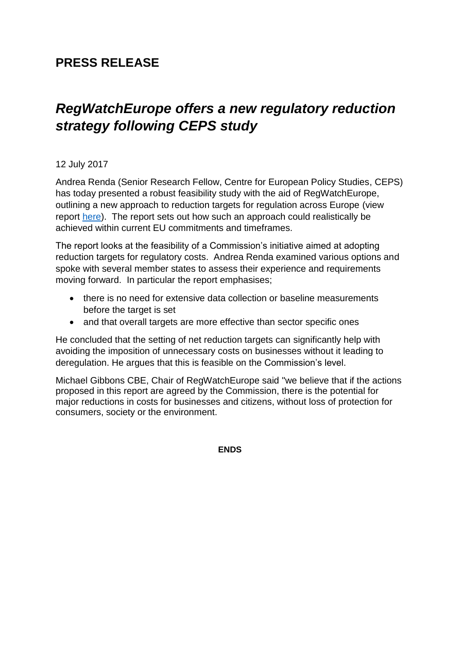## **PRESS RELEASE**

## *RegWatchEurope offers a new regulatory reduction strategy following CEPS study*

## 12 July 2017

Andrea Renda (Senior Research Fellow, Centre for European Policy Studies, CEPS) has today presented a robust feasibility study with the aid of RegWatchEurope, outlining a new approach to reduction targets for regulation across Europe (view report [here\)](https://www.ceps.eu/publications/introducing-eu-reduction-targets-regulatory-costs-feasibility-study). The report sets out how such an approach could realistically be achieved within current EU commitments and timeframes.

The report looks at the feasibility of a Commission's initiative aimed at adopting reduction targets for regulatory costs. Andrea Renda examined various options and spoke with several member states to assess their experience and requirements moving forward. In particular the report emphasises;

- there is no need for extensive data collection or baseline measurements before the target is set
- and that overall targets are more effective than sector specific ones

He concluded that the setting of net reduction targets can significantly help with avoiding the imposition of unnecessary costs on businesses without it leading to deregulation. He argues that this is feasible on the Commission's level.

Michael Gibbons CBE, Chair of RegWatchEurope said "we believe that if the actions proposed in this report are agreed by the Commission, there is the potential for major reductions in costs for businesses and citizens, without loss of protection for consumers, society or the environment.

**ENDS**